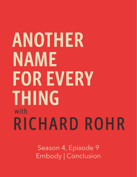## ANOTHER NAME **FOR EVERY THING** with RICHARD ROHR

Season 4, Episode 9 Embody | Conclusion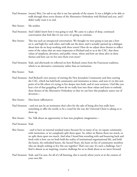- Paul Swanson: [music] Brie, I'm sad to say this is our last episode of the season. It was a delight to be able to walk through these seven themes of the Alternative Orthodoxy with Richard and you, and I didn't really want it to end.
- Brie Stoner: Me neither.
- Paul Swanson: And I didn't know how it was going to end. We came to a place of deep, continued conversation that feels like it's not over; it's going to continue.
- Brie Stoner: This was such an unexpected conversation. We thought we were going to just put a bow on it, and high five each other, and walk out the door, and it actually opened up a dialogue about how do we keep working with these tenets? How do we adjust these themes to reflect some of the values that are most important to Richard and to us at the CAC, that these values of simplicity, devotion, and public virtue, where and how are those alive in these themes and how can we live into them even more?
- Paul Swanson: Yeah, and afterwards we reflected on how Richard comes from the Franciscan tradition, which is an alternative community rather than an institution.
- Brie Stoner: Yeah.
- Paul Swanson: And Richard's own journey of starting the New Jerusalem Community and then starting the CAC, which has held both community and institution at times, and now it's in this new point of its life where it's trying to live deeper into both, and it's new territory. I feel like you hear a lot of that grappling of how do we really lean into these values and learn to embody these themes of the Alternative Orthodoxy so that we can have this prophetic stance out of devotion—
- Brie Stoner: Mm-hmm (affirmative).
- Paul Swanson: --and not just be an institution that's alive for the sake of being alive but really have something to offer the world, to be a vessel for the way the Universal Christ is asking us to show up.
- Brie Stoner: Yes. Talk about an opportunity to lean into prophetic imagination—
- Paul Swanson: Yeah.
- Brie Stoner: --and to have an internal nondual stance because for so many of us, we equate community with institution, or we completely split them apart. So, either we flatten them too much, or we split them apart too much. And what I heard him wrestling with and bouncing back and forth with is how can we both hold the reality of institutional organizational life, and hold the hearts, the embodied hearts, the Sacred Heart, the heart on fire of community members who are deeply seeking to live this out together? That's not easy. It's such a challenge, but I find it almost as an inspiring, creative challenge for us to think about as we move forward.
- Paul Swanson: Yeah, and I'm sure, for all of y'all listening, this is exactly where you're at in the context of your own life.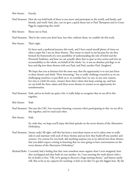Brie Stoner: Exactly.

- Paul Swanson: How do you hold both of these as you move and participate in the world, and family, and friends, and work? And, also, can we give a quick shout-out to Paul Thompson and to Corey Pigg for supporting this week?
- Brie Stoner: Shout out to Paul.
- Paul Swanson: They're the voices you don't hear, but who, without them, we couldn't do this work.
- Brie Stoner: That's right.

 It's been such a profound journey this week, and I have outed myself plenty of times on what a super fan I am on these themes. They mean so much to me because for me they formed the framework of a new possibility of understanding the role of belief and the Perennial Tradition, and how we can actually allow that to spur us into action and into an accountability to the whole, on behalf of the whole. So, it was an absolute privilege to sit here and dig into these themes with you Paul, and Paul, another Paul. [laughter]

 We hope that you as listeners feel the same way, that the opportunity is to not just listen to these themes and think "How interesting," but to really challenge yourselves as we are challenging ourselves, to put flesh on it, to consider how we can, in our own context, live into it a little bit more, [music] these three values that keep coming up, and how we can hold the three values and these seven themes in tension as an opportunity for transformation.

- Paul Swanson: Yeah, and as we both say quite a bit, it really helps us recognize that we are all in this together.
- Brie Stoner: Yeah.
- Paul Swanson: Not just the CAC, but everyone listening, everyone who's participating in this, we are all in this together, and we need each other.
- Brie Stoner: Yeah.

 So, with that, we hope you'll enjoy this final episode on the seven themes of the Alternative Orthodoxy.

- Paul Swanson: [music ends] All right, well this has been a marvelous season as we've taken time to really sink in and marinate with each of these themes and see how they build off one another and connect. I'm curious for you both, did anything surprise you as we delved into these themes that you didn't expect coming in knowing that we were going to have conversations on the seven themes of the Alternative Orthodoxy?
- Richard Rohr: I certainly had a feeling that they were somehow more organic than I even imagined, how they overlapped and they built on one another. So, I was entering the week almost with a bit of doubt or fear, "Oh, we're going to discover a huge missing theme," and history surely will. But as far as my capacity for teaching, it feels to me like I've got the biggies here. By the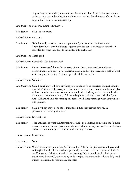biggies I mean the underlying—not that there aren't a lot of corollaries to every one of these—but the underlying, foundational idea, so that the wholeness of it made me happy. That's what I was surprised by.

Paul Swanson: Mm. Mm-hmm (affirmative).

Brie Stoner: I felt the same way.

- Richard Rohr: Did you?
- Brie Stoner: Yeah. I already outed myself as a super fan of your tenets in the Alternative Orthodoxy, but it was in dialogue together over the course of these sessions that I really felt the ways that they do backstitch into each other.

Paul Swanson: That's good.

Richard Rohr: Backstitch. Good phrase. Yeah.

Brie Stoner: I have this sense of almost this tapestry of how they weave together and form a holistic picture of a new way of understanding, a path of practice, and a path of what we're being invited into. It's stunning, Richard. It's so exciting.

Richard Rohr: Yeah, it is.

- Paul Swanson: Yeah. I don't know if I have anything new to add as far as surprises, but just echoing that I don't think I fully recognized how much these connect to one another and play with one another in a way that creates a whole, that invites you into the whole, that it's not just one piece. And so, it's been a delight to sink into these with all of you. And, Richard, thanks for charting this territory all those years ago when you put this into practice.
- Brie Stoner: Yeah. I will say maybe one other thing that I didn't expect was how much perfectionism came up as almost—

Richard Rohr: Isn't that true.

Brie Stoner: --the antithesis of what the Alternative Orthodoxy is inviting us into in a much more incarnational and human invitation; whereas, I think the ways we used to think about orthodoxy was about perfectionism, and achieving, and—

Richard Rohr: It was. It was.

Brie Stoner: Yeah.

Richard Rohr: Which is quite arrogant of us. As if we could. Only the isolated ego would have such an imagination that I could achieve personal perfection. Of course, you and I, that's our Enneagram delusion. You do it aesthetically; I do it moralistically. And mine is much more distasteful, just wanting to do it right. You want to do it beautifully. And if it isn't beautiful, it's just useless. [laughter]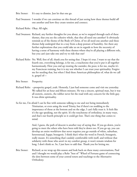- Brie Stoner: It's easy to dismiss. Just let that one go.
- Paul Swanson: I wonder if we can continue on this thread of just seeing how these themes build off one another and how they create tension and connect.

Richard Rohr: Okay. All right.

- Paul Swanson: Richard, any further thoughts for you about, as we've stepped through each of these themes, that you see the cohesive whole, that they all need one another? It obviously reminds us of the theme of the Body of Christ, of we all need one another and these themes help undergird that in a way from a deep posture of humility. Are there any further explorations that you could take us on in regards to how the necessity of having a sense of harmony with these themes where they're all playing a different role, but you can't just take one and try to ride that out?
- Richard Rohr: No. Well, first of all, thank you for seeing that. I hope it's true. I want to say that the fourth one, everything belongs, is for me, a touchstone that you've put it all together harmoniously. How you end up treating the outsider, the poor, is for me, maybe it's my Franciscan training, but it is my test whether I can trust your spirituality. Forgive me for needing that, but when I find these American philosophies of, what do we call it, gospel of—
- Brie Stoner: Prosperity.
- Richard Rohr: --prosperity gospel, yeah. Honestly, I just had someone come and visit me yesterday. We talked for an hour and fifteen minutes. He was a sincere, spiritual man, but it was all esoteric, esoteric, the rubber never hit the road with any concern for the little guy. It was elitist spirituality.
- So for me, I'm afraid I can be fine with someone talking to me and not being immediately Trinitarian, or even using the word Trinity, but if there's no nodding to the importance of those at the bottom and on the edge, I can't fully trust it. It feels like it's the ego speaking, not the spirit. It's the touchstone of orthodoxy, in many ways, and that's our fourth principle so it could get lost. That's one thing that comes to mind.

 And, I guess, the path of descent is another way of saying that. If you go down, you're going to meet the others who have been told they're down too. If you go up, you can develop an entire worldview that never requires you go outside of white, suburban, heterosexual, happy, bourgeois. I think that's what the word in French, bourgeois, really meant. It's something that's unduly comfortable with itself, and without that solidarity with those who aren't in my comfort group, it won't remain wisdom for long. I don't think so. So, I just have to add that. Thank you for letting me.

Brie Stoner: Richard, as we wrap up this season and look back on these many conversations, Paul and I thought we would play a Rohr "best of" Wheel of Fortune game of connecting the dots between some of your central tenets and teachings to the Alternative Orthodoxy.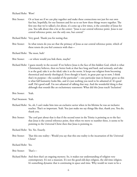## Richard Rohr: Wow!

Brie Stoner: Or at least see if we can play together and make these connections not just for our own fun but, hopefully, for our listeners and for us to see how these things weave together. The first one that we've talked a lot about, it's come up a few times, is the centrality of Jesus for you. You talk about this a lot at the center: "Jesus is our central reference point. Jesus is our central reference point, not the only one, but central."

Richard Rohr: Very good. Thank you for noting that.

Brie Stoner: In what tenets do you see that the primacy of Jesus as our central reference point, which of these tenets do you feel connects with that—

Richard Rohr: The most, huh?

Brie Stoner: --or where would you link them, maybe?

Richard Rohr: I guess mostly in the second. If we believe Jesus is the face of this hidden God, which is what Christianity believes, then we better look at that face long and hard, and seriously, and take it as the goal; take it as the ideal; take it as the norm. It keeps our religion from becoming theoretical and merely theological. Even though it hasn't, in great part up to now, I think that's its purpose—the scandal of the particular"—one particular man in history gives us this is what full humanity looks like, and it's just nothing you need to be ashamed of. It's good stuff. He's good stuff. I'm not ashamed of talking that way. And the wonderful thing is that although that sounds like an exclusionary statement: What did this Jesus teach? Inclusion!

Brie Stoner: Yeah.

Paul Swanson: Yeah.

- Richard Rohr: So, oh, I can't make him into an exclusive savior when in his lifetime he was an inclusive teacher. That's so important. Yeah. You just make me say things like that, thank you. You do, thank you.
- Brie Stoner: The cool part about that is that if the second tenet in the Trinity is pointing us to the fact that Jesus is the central reference point, then when we move to number three, it seems to be pointing to the Universal Christ then that Jesus is pointing to.

Richard Rohr: Yes. Yes. Exactly.

Brie Stoner: That this one reality-- Would you say that this one reality is the incarnation of the Universal Christ?

Richard Rohr: Yes.

Brie Stoner: That's—

Richard Rohr: And then that's an ongoing mystery. So, it makes our understanding of religion very contemporary. It's not a museum. It's not the good-old-days religion, the old-time religion. It's something dynamic that is continuing in space and time. Why would we want to be a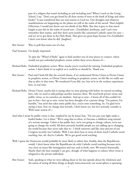part of a religion that wasn't including us and including now? When I teach in the Living School, I say, "Don't you get bored by all these stories of wars in the book of Kings and other books?" It just transferred that our wars matter to God too. Our droughts and whatever manifestations are happening on the planet are still in the realm of the sacred. That's helpful. Otherwise, I would just throw out two-thirds of the Bible. But that it goes to that much length to put this in the realm of sacred text—Zerubbabel, Jeroboam, and I can't even remember their names, and they don't seem mostly like canonized Catholic saints for sure and yet we've got them in the Holy Book. That gives me great hope because I'm Zerubbabel. I don't even know what he did. [laughter]

Brie Stoner: Way to pull that name out of a hat.

Paul Swanson: I'm deeply impressed.

 To spin the "Wheel of Rohr" again to find another one of your pieces to connect, where would you put embodied prophetic action within these seven themes of—

- Richard Rohr: Embodied prophetic action. Wow, maybe you've touched the missing. Embodied prophetic action. I don't think it's as explicit as it could be or should be. Thank you.
- Brie Stoner: Paul and I both felt like the seventh theme, if we understand Divine Union as Divine Union in prophetic action, or Divine Union resulting in prophetic action, we felt like we really saw that as alive in that tenet. We wondered if you did, too, but we're in the roulette experiment here, in real time.
- Richard Rohr: Divine Union, maybe this is saying what we were playing with before we started recording here, why we need to add perhaps another sentence there. We need both private virtue and public virtue, or we ourselves are dualistic. And up to now—I know all of this couldn't be put in that—but up to now, virtue has been thought of as a private thing: "I'm patient; I'm humble," but until that takes some public face, you're onto something. So, I'm glad we're saying it here, how we change that seventh, I don't know yet, but let's seriously consider it. With some notion of—
- And what I mean by public virtue is that, implied for me by Jesus's line, "Do not put your light under a bushel basket. Let it shine." We've sang that so often, it's become a children's song instead of a serious message. Unless it has public face, we're not going to change culture; we're not going to change the world. All these privately humble people are not adding up to changing the world because they never take that to-- I think someone said like sixty percent of our Congress recently was Catholic. Well, I sure don't hear in most of them much Catholic social teaching, but, oh, they're Catholic. We've got good social teaching.
- Well, I guess the Democrats would probably be more likely to admit that, frankly, than the Republicans would. I don't know what the Republicans do with Catholic social teaching because we're very clear on issues like immigration and war, and so forth, now. We weren't historically. Maybe that's the best example I can give, though, of what happens to culture when virtue is relegated to the private individual.
- Brie Stoner: Yeah, speaking to what we were talking about in the last episode about the wholeness and the union of seeing all these things as deeply interconnected, our social sphere is operating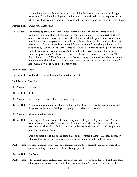as though it's separate from the spiritual, inner-life sphere, which is operating as though it's separate from the political sphere, and we don't even realize that we're perpetuating the fallacy that those fears are somehow not constantly interacting and inter-creating each other.

Richard Rohr: Thank you. That's right.

Brie Stoner: I'm confessing this just to say that I very recently came to the inner conviction and realization that I didn't actually believe that contemplation could have a direct bearing in our political sphere. It wasn't a conscious belief that I was holding, but more just the ways in which we like to keep contemplation in our private sphere over here, and we like to do retreats, and it's stimulating for the inner life, and we kind of act as though the political, the public is, "Oh, that's out there." That's like, "Well, no, I have to just be professional for work. I've got to get my stuff done." And the political is over there, and "I can't do anything about our government." I think, very, very recently for me, I started to realize that "No, this is all one reality." How I choose to see that one reality is going to have a bearing on the momentum to allow the contemplative practice to live itself out in the manifestation, of hopefully, a new political and social reality too.

Paul Swanson: Wow.

- Richard Rohr: And in that we're replicating the church we all left.
- Paul Swanson: Yeah. Yes.
- Brie Stoner: Yes! Yes!
- Richard Rohr: Really.
- Brie Stoner: It's like a new, isolated church, or something.
- Richard Rohr: A new, where you never preach on anything political; you don't really pray publicly; we let the priest say the prayer. Well, you prayed publicly though, didn't you?
- Brie Stoner: Mm-hmm (affirmative).
- Richard Rohr: Yeah, so you did show your—that's probably one of the great things that many Protestant sects brought to Christianity—that you did show your cards more about your faith in Jesus. We just showed our faith in the Church, but we let the official Church people do the praying. [chuckling] Yeah.

 This is no small point. Do spend some time, and recommend them to Michael, or me, or whoever, how we can get this idea of public virtue in our orthodoxy. Thank you.

Paul Swanson: It's really naming for me, too, how counter-cultural these seven themes are because all of culture is telling us to remain individuals to perpetuate—

Richard Rohr: Yes. Yeah.

Paul Swanson: --the consumeristic culture, materialism, in the shallowest sense of the word, and that doesn't allow us to participate in the whole. How do we, as the CAC, stand in the place of that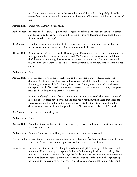prophetic lineage where we are in the world but not of the world in, hopefully, the fullest sense of that where we are able to provide an alternative of how one can follow in the way of Jesus?

Richard Rohr: Thank you. Thank you very much.

- Paul Swanson: Another one here that, to spin the wheel again, we talked a lot about the values last season, and I'm curious, Richard, where would you put the role of devotion in these seven themes? Where does that show up?
- Brie Stoner: I think it came up a little bit in the first tenet where we said devotion is the fuel for the methodology almost, but we're curious where you see it, Richard.
- Richard Rohr: Where do I see it? Do I not see it? If so, why not? Devotion, for me, is the movement of the message to the heart, intimate, intensity level. You've heard me say to parents, "Children don't believe what you say, they believe what you're passionate about." And they can tell that mommy and daddy care about trees, or whatever it is. They know that by three, I'll bet, already.

Paul Swanson: Yep.

Richard Rohr: How do people who come to work with us, how do people that we teach, know our devotion? My fear is if we don't have a devoted core which holds public virtue—and not that our goal is to last, it isn't—but my fear is that it's not going to last. It's too abstract, conceptual, heady. You need a core where it's moved to the heart level, and they can speak from the heart level to one another, to the world.

> It hit a lot of people when a few weeks ago at a—maybe you weren't there Brie—at a staff meeting, at least three have now come and told me it hit them when I said that I fear the CAC has become liberal but not prophetic. I fear that, that that's true. Liberal is still a detached observance of issues, but prophetic is a "I know you care about this." [music]

- Brie Stoner: Yeah, there's skin in the game.
- Paul Swanson: Yeah.
- Richard Rohr: Yeah. That there's real caring. My, you're coming up with good things. I don't think devotion is enough stated here.

Paul Swanson: Another Name for Every Thing will continue in a moment. [music ends]

- Yvette Trujillo: [music] Embark on a spiritual journey through Teresa of Ávila's seven Mansions, with James Finley and Mirabai Starr in our eight-week online course, Interior Castle.
- James Finley: I would say is that what we're doing here is brief, in-depth "touchings" of the essence of her teachings. We're honoring the depth of it, but we're honoring the depth of it briefly, like touches or glimpses, as we walk through the Castle. But what we do in the online course is we slow it down and take a slower, kind of still more subtle, refined walk-through letting her lead us to the Castle of our own soul in a richer, expanded modality, like that. I think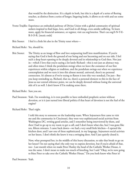that would be the distinction. It's a depth in both, but this is a depth of a series of fleeting touches, as distinct from a series of longer, lingering looks, it allows to sit with and see some more.

- Yvette Trujillo: Experience an embodied pathway of Divine Union with a global community of spiritual seekers inspired to find hope, love, and God in all things, even amidst suffering. To learn more, apply for financial assistance, or register, visit cac.org/interior. That's cac.org/I-N-T-E-R-I-O-R. [music ends]
- Brie Stoner: I feel it a little bit also in the Trinity tenet where—
- Richard Rohr: Yes, should be.
- Brie Stoner: The Trinity as an image of flow and love outpouring itself into manifestation. If you're saying that God is both the ground of our being and our becoming and on our side, I feel such a deep heart-opening to be deeply devoted and in relationship to God then. Not just in—which I love that you're saying a lot lately Richard—this is not just an abstract way, and often times I think the pendulum swings when we leave the container of our first experiences within religion or tradition, and the pendulum swings out when we experience contemplation and we turn it into this almost mental, universal, there's no personal connection. It's almost as if we're trying to flatten it into this very nondual, I'm just-- But you keep reminding us, Richard, that no, there's a personal element to this in the face of Jesus as our central reference point, we can be deeply devoted without losing the universal side of it as well. I don't know if I'm making sense there.
- Richard Rohr: Sure you are.
- Paul Swanson: Yeah. I'm wondering, is it even possible to have embodied prophetic action without devotion, or is it just turned into liberal politics if that heart of devotion is not the fuel of the engine?
- Richard Rohr: That's right.

 I told this story to someone on the leadership team. When Sojourners first came to visit me and the community in Cincinnati, they were very sophisticated social activists from Washington DC, writing good articles, and I remember being interviewed by them, and then I had to go up to my room to get a call, and I don't know what else, but I was gone like ten, fifteen minutes. I came back down—we had a very small little kitchen—I opened the kitchen door, and I saw one of these sophisticated, in my language, Sojourners social activists on her knees. I don't think she knew it was a swinging door. And I just quietly closed it.

 Now, what prompted her, in the middle of this heavy discussion, to take that break to go on her knees? I'm not saying that's the only way to express devotion, but if you're afraid of that, too-- Last month when we made Peter Hanley the head of the Catholic Worker House, it was the same. I don't mean to make too much of kneeling, but I said "Okay, we're now going to bless Peter to take over the Catholic Worker House." Do you both know who Peter is?

Paul Swanson: Yeah.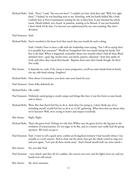Richard Rohr: Yeah. "Peter," I said, "Are you not here?" I couldn't see him. And they said "Well, he's right there." I looked, he was kneeling next to me. Kneeling, with his hands folded like a little Catholic boy at First Communion waiting for me to bless him. It just shocked the whole room. Hands folded, eyes closed, in position, waiting to be blessed. It was just beautiful. I don't think I'd do that. I've become too sophisticated by my own teaching. But that's devotion.

Paul Swanson: Yeah.

Richard Rohr: You're touched at the heart level that much that you would do such a thing.

 Yeah, I think I have to have a talk with the leadership team saying, "Am I off in saying that? Is it possible here anymore?" Would an Evangelical who was raised raising his hands, feel free to do that? When it happened, remember about two months when I had all these Black ministers here—god, big, macho men, you know, pastors, educated—how they spoke of God, and when they raised their hands-- Baptists don't raise their hands though, do they? Not really.

- Brie Stoner: It depends on, yeah, if the music is more progressive, you'll see some hands kind of slowly rise up, side-hand raising. [laughter]
- Richard Rohr: How about Covenanters, you don't raise your hand do you?
- Paul Swanson: Some folks definitely do.
- Richard Rohr: Oh, really?
- Paul Swanson: Definitely raised going to youth camps and things like that, it was free form to raise hands and to dance.
- Richard Rohr: Wow. But that they'd feel free to do it. And what I'm saying is, I don't think any of us, including myself, would feel free to do it at a CAC gathering. What does that say about what we've become? Well, we're trying to honor and respect everybody.
- Brie Stoner: Right. Right.
- Richard Rohr: That's the green level. Perhaps it's why Ken Wilber says the green level is the log jam in the evolution of consciousness. It's too eager to be flat, and so a mystic can't really lead the group anymore. We won't accept it.
- Paul Swanson: Yeah. I want to tell a quick story, confess an Evangelical moment I had recently where I was actually at a rock concert. And to close out the show, they got the whole crowd to sing over and over again, "Let's put all these words away." And I found myself with my arms raised—
- Brie Stoner: Yes, you did, Paul.
- Paul Swanson: --eyes closed, and then all of a sudden, the concert was over, and the lights went on, and my hands were still raised.
- Brie Stoner: Ah, that's awesome.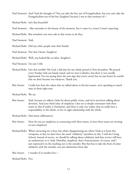Paul Swanson: And I had the thought of "You can take the boy out of Evangelicalism, but you can't take the Evangelicalism out of the boy [laughter] because I was in that moment of—

Richard Rohr: Isn't that beautiful?

- Paul Swanson: --like surrender to the beauty of the moment, but it came in a venue I wasn't expecting.
- Richard Rohr: But somehow you were safe in that venue to do that.

Paul Swanson: Yeah.

Richard Rohr: Did any other people raise their hands?

Paul Swanson: Not that I know. [laughter]

Richard Rohr: Well, you looked like an idiot. [laughter]

Paul Swanson: I'm sure I did.

- Richard Rohr: Isn't that terrible? My God, I did that for my whole period in New Jerusalem. We prayed every Sunday with our hands raised, and we were Catholics, but there it was socially legitimated. I'm not saying that's the new sign that you're saved, but we just better be careful that we don't become too whatever. Thank you.
- Brie Stoner: I really love how the values that we talked about in the last season, we're spending so much time in them right now.

Richard Rohr: We are.

Brie Stoner: Yeah, because we talked a little bit about public virtue, and we've just been talking about devotion. And your third value of simplicity I also see as deeply consonant with these tenets in that if reality is Trinitarian, and there is only one reality, that we really have a responsibility to the whole, to live in right relationship with the whole.

Richard Rohr: Mm-hmm (affirmative).

- Brie Stoner: How do you see simplicity as connecting with these tenets, or how these tenets are inviting us into simplicity?
- Richard Rohr: What's attracting me is four, but what's disappointing me when I look at it from this viewpoint, is that we don't have the word "solidarity" anywhere in this. I told the Living School, instead of service, we should be talking about solidarity, and then service will have an authenticity to it. Yeah. Humility, simplicity, that's Franciscanism, of course, and I just expressed it in the reaching out to the outsider. But that has to take the form of some solidarity with the outsider, not just admiration from afar.

Brie Stoner: I wonder if in number five—

Richard Rohr: Five.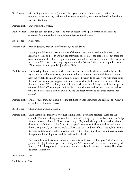- Brie Stoner: --in healing the separate self, if what I hear you saying is that we're being invited into solidarity, deep solidarity with the other, as we remember, or are remembered to the whole, we're invited then—
- Richard Rohr: That works; that works.
- Paul Swanson: I wonder, too, about six, about The path of descent is the path of transformation and solidarity. You almost have to go through that wounded journey—
- Brie Stoner: Nice, yeah.

## Richard Rohr: Path of descent, path of transformation, and solidarity.

 Leading to solidarity. At least write one of those in, Paul, and I need to take these to the leadership team, and see if, we just did this week, out-of-date, the core is here, but these are some refinements based on recognition, these three values that we see we don't always express here at the CAC. We don't always express simplicity. We don't always express public virtue, "Wow, we're virtuous people." [laughter] Yeah.

- Paul Swanson: I'm thinking about, as we play with these themes, and we take them very seriously but also try to nuance and how is reality inviting us to look at them in new and different ways and how can we take them on? What would you invite listeners to as they work with these seven themes? How would you suggest that they try to work with them and try them on? Does that make sense? We're talking about it in a way where we're thinking about it in our specific context of the CAC, would you invite folks to sit with these and let them resonate and see what their invitation is in their own daily life and local context to put these themes into action?
- Richard Rohr: Well, for sure that. But I have a feeling it'll float off into vagueness and agreement: "Okay, I agree. I agree. I agree. I agree."
- Brie Stoner: Check. Check. Check. Check.
- Richard Rohr: Until there is this thing you were just talking about, a concrete practice-- Let's use the example, I'm not pushing but, like, this month we're going to go to Los Forasteros on Bridge Avenue for our staff lunch. Now, it's hard to get, "My God, these people are serious about downward mobility as a value," and giving up—I don't know if they serve beer and wine there, they probably do—so we could still have our beer and wine if we want it, but I think it's going to take concrete decisions like that. That say this is not theoretical, it asks concrete things of the leadership team and the staff, and Richard!

 I've been taken for forty years to fancy restaurants, and I try to tell people, "I don't need to go here." I enjoy it when I get there, I really do. Who wouldn't? Once you know what good food is, it's hard to go back to the greasy spoon place. But do we need to make-- That shows devotion. That shows—

Brie Stoner: Yes.

Paul Swanson: Yeah.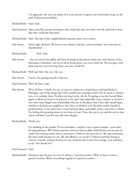I so appreciate the way you spoke of it as an exercise of agency out of devotion to go on the path of downward mobility.

- Richard Rohr: Yeah. Yeah.
- Paul Swanson: That seems like anyone listening to this could take that into their own life and look at ways that they could take that path.
- Richard Rohr: Yeah. The idea of the neighborhood restaurant that's not so fancy.
- Brie Stoner: You're right, Richard. We have in our culture, and here, and everywhere, we've become so disembodied—
- Richard Rohr: Yeah. Yeah.
- Brie Stoner: --that we can sit here glibly and have theological discussions about the seven themes of the Alternative Orthodoxy and not at all be living them, not even a little bit. We can agree with them and not even be living them, not even a little bit.
- Richard Rohr: Well said, Brie. Me, too. Me, too.
- Brie Stoner: I know, I'm putting myself in that too.
- Paul Swanson: We're all there, yeah.
- Brie Stoner: We're all there. I think, for me, as I get on a plane in a couple hours and head back to Michigan, one of the things that I feel startled into wanting to listen for, be open to, deepen into, is to embody these. To allow my heart to be, uh oh, I'm going to use the Sacred Heart again to allow my heart to be pierced, to be open and vulnerable to my context, to see how I can move more deeply into relationship with any of the places that I have split myself apart, whether it be from my neighbor or the other, or whether it be the splits within myself of perfectionism, or the splits that I create between ideas, and public action, and virtue. I think I'm feeling this growing prayer in my heart of, may I have the eyes to see and the ears to hear where and how I can live into this more deeply?

Richard Rohr: Thank you.

 I'm thinking of the parallel. If you remember—maybe it isn't a good example—years after his impeachment, Bill Clinton said the reason he had an affair with Monica was because he could. He could get away with it, you know. I think it's the same for us. We take sometimes the easier path because we can. We can afford it, we can do it without anybody daring to criticize it inside, and just because we can, someone has to have the courage, now and then, to say "but should we?"

Paul Swanson: Yeah.

Richard Rohr: Should we just because we can? It's always a "special occasion." Well, we have to have a special occasion. When everything's upped to a special occasion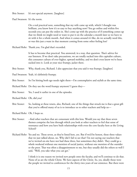Brie Stoner: It's not special anymore. [laughter]

Paul Swanson: It's the norm.

 On a real practical note, something that my wife came up with, which I thought was brilliant, you know how it's so easy to buy anything now? You go online and within five seconds you can put the orders in. She's come up with the practice of if something comes up that we think we might need or want to put it on the calendar a month later so we have to sit with it for a whole month. And when it comes around it's like, do we actually need this, or was this just a want in that moment coming from some other feeling less?

Richard Rohr: Thank you. I'm glad that's recorded.

 It has to become that practical. You answered, in a way, that question. That's advice for our listeners. If we don't take precautions, we are totally sucked into this capitalist culture, this consumer culture of ever-higher, upward mobility, and we don't even know we've been sucked into it. Look at your nice frumpy, jacket there.

Brie Stoner: Why, thank you, Richard. I also appreciate that you said it was frumpy. [laughter]

- Paul Swanson: Yeah, it's definitely frumpy.
- Brie Stoner: So I'm hitting both ego needs right there—I'm contemplative and stylish at the same time.

Richard Rohr: Do they use the word frumpy anymore? I guess they—

- Brie Stoner: Yes, I used it earlier in one of the episodes.
- Richard Rohr: Oh, did you?
- Brie Stoner: So, looking at these tenets, also, Richard, one of the things that struck me is that a great gift that you've offered many of us is to introduce us to other teachers and help us—
- Richard Rohr: Oh, I hope so.
- Brie Stoner: --find other teachers that are consonant with this lens. Would you say that these seven themes comprise the lens through which you look at other teachers to feel that sense of resonance and how you have built relationships with even the core faculty here at the Living School?
- Richard Rohr: Yes and no. These seven, as they're listed here, yes. But if we'd be honest, these three values that we just talked about, no. Why did I fail to see that? I'm not saying our teachers that we've invited on-site have not had these three, but sometimes they didn't. They could go a whole weekend without one mention of social justice, without one mention of the outsider or the poor. That was often a disappointment to me, but they usually did the others so well I said, "Well, you take what you can get."

 I think it is one reason we invited new people onto the faculty, and we'll continue to do that. None of us are the whole Christ. We have aspects of the Christ. So, yes, ideally those were the people we invited to conferences for the thirty-two years of our existence. But there were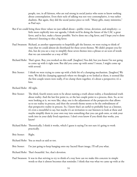people, too, in all fairness, who are real strong in social justice who seem to know nothing about contemplation. Even their style of talking was not very contemplative, it was rather dualistic. But again, they did the social justice piece so well. "Many gifts, many ministries," as Paul says.

- But if we could bring these three values we just talked about—public virtue, devotion, and simplicity—a little more explicitly into our agenda, I think we'd be doing the future of the CAC a great favor, and in fact, make a future possible. You've done me a big favor, and I hope you've done whoever's listening to this a big favor.
- Paul Swanson: Richard, as another opportunity to hopefully gift the listener, we were trying to think of ways that we could almost do shorthand for these seven themes. We didn't prepare you for this, but do you see a way to simplify these seven themes into a phrase or an icon of words that we can remember as a way of life?
- Richard Rohr: That's great. Boy, you worked on this stuff. [laughter] You did, but you know I'm not going to come up with it right now. But did you come up with some? I mean, I might come up with several.
- Brie Stoner: I think we were trying to come up with a little bit of a clumping mechanism. [laughter] We were. We did the clumping approach where we thought as we looked at them, it seemed like the first couple tenets were really, if we clump them together, it's about a perspective; it's a lens.
- Richard Rohr: All right.
- Brie Stoner: The third, fourth tenets seem to be about naming a truth about reality, a foundational truth about reality. And the last few point to, or the last couple point to a process, then. So, as we were looking at it, we were like, okay, one is the adjustment of the perspective that allows us to see reality in process, and then the seventh theme seems to be the embodiment of that perspective reality in process. So, I know that's an earful to probably hear as a listener, it's even a mouthful to say, but maybe it's an invitation to our listeners to look at these and maybe simplify them in your own way into something that you can grab onto, or sink your teeth into in your daily lived experience. I don't even know if you think that works, you know?
- Richard Rohr: Theoretically, I think it works, which I guess is saying I'm not sure it's going to work practically.
- Brie Stoner: Right.
- Richard Rohr: You as much as said so too.
- Brie Stoner: I'm just going to keep hanging onto my Sacred Heart image, I'll tell you what.
- Richard Rohr: That's beautiful. See, that's devotion.
- Paul Swanson: It was in that striving to try to think of a way how can we make this concrete in simple words so that it almost becomes that reminder. I think that was what we came up with at the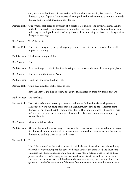end, was the embodiment of perspective, reality, and process. Again, like you said, it's too theoretical, but it's part of that process of trying to live these themes out is to put it in words that are going to work incarnationally for us.

- Richard Rohr: One symbol that holds an awful lot of it together is our logo. The downward line, the line to the left, one reality, God's cosmos, a benevolent universe. If you really spend some time reflecting on our logo, I think that's why it's one of the few things we have not changed since thirty-two years ago.
- Brie Stoner: That's beautiful.
- Richard Rohr: Yeah. One reality, everything belongs, separate self, path of descent, non-duality are all implied in that logo.
- Paul Swanson: I had never thought of that.
- Brie Stoner: Yeah.
- Paul Swanson: What an image to hold it. I'm just thinking of the downward arrow, the arrow going back—
- Brie Stoner: The cross and the tension. Yeah.
- Paul Swanson: --and then the circle holding it all.
- Richard Rohr: Oh, I'm so glad that makes sense to you.

Boy, the Spirit is guiding us today. But you've taken notes on these few things that we—

- Paul Swanson: We sure have.
- Richard Rohr: Yeah. Michael's about to set up a meeting with me with the whole leadership team to ask about how we can bring more mission alignment, first among the leadership team themselves, but then the staff. They're ready for it. They know we need it because if there isn't a leaven, if there isn't a core that is invested in this, there is no momentum just by papers like this.
- Brie Stoner: Mm-hmm (affirmative).
- Paul Swanson: Richard, I'm wondering as a way to close out this conversation if you would offer a prayer for all those listening and for all of us here as we try to seek to live deeper into these seven themes and embody them in our daily lives?

Richard Rohr: I'll try.

 Holy Mysterious One, here with us even in this little hermitage, this particular ordinary place where we've now spent five days, we believe you are the same Lord and lover that embraces the whole planet and the whole universe. May whatever we're saying on these podcasts, whatever we're saying in our written documents, affirm and call forth truth, and love, and devotion, on both levels—in the concrete person, the concrete church or gathering—and offer some kind of elements for a movement in history that can make a